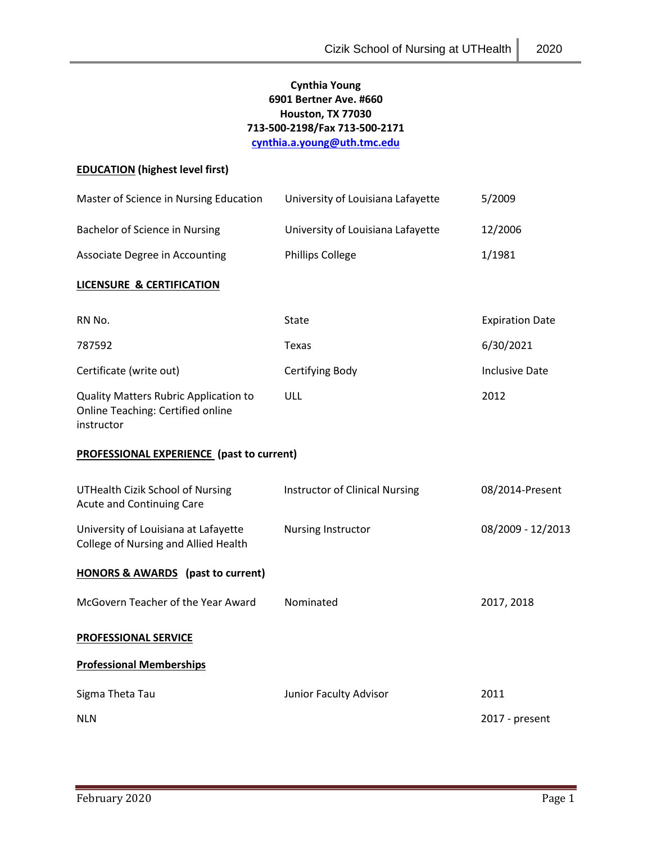# **Cynthia Young 6901 Bertner Ave. #660 Houston, TX 77030 713-500-2198/Fax 713-500-2171 [cynthia.a.young@uth.tmc.edu](mailto:cynthia.a.young@uth.tmc.edu)**

## **EDUCATION (highest level first)**

| Master of Science in Nursing Education                                                          | University of Louisiana Lafayette     | 5/2009                 |
|-------------------------------------------------------------------------------------------------|---------------------------------------|------------------------|
| Bachelor of Science in Nursing                                                                  | University of Louisiana Lafayette     | 12/2006                |
| Associate Degree in Accounting                                                                  | <b>Phillips College</b>               | 1/1981                 |
| <b>LICENSURE &amp; CERTIFICATION</b>                                                            |                                       |                        |
| RN No.                                                                                          | State                                 | <b>Expiration Date</b> |
| 787592                                                                                          | Texas                                 | 6/30/2021              |
| Certificate (write out)                                                                         | Certifying Body                       | <b>Inclusive Date</b>  |
| <b>Quality Matters Rubric Application to</b><br>Online Teaching: Certified online<br>instructor | ULL                                   | 2012                   |
| PROFESSIONAL EXPERIENCE (past to current)                                                       |                                       |                        |
| <b>UTHealth Cizik School of Nursing</b><br><b>Acute and Continuing Care</b>                     | <b>Instructor of Clinical Nursing</b> | 08/2014-Present        |
| University of Louisiana at Lafayette<br>College of Nursing and Allied Health                    | Nursing Instructor                    | 08/2009 - 12/2013      |
| <b>HONORS &amp; AWARDS</b> (past to current)                                                    |                                       |                        |
| McGovern Teacher of the Year Award                                                              | Nominated                             | 2017, 2018             |
| <b>PROFESSIONAL SERVICE</b>                                                                     |                                       |                        |
| <b>Professional Memberships</b>                                                                 |                                       |                        |
| Sigma Theta Tau                                                                                 | Junior Faculty Advisor                | 2011                   |
| <b>NLN</b>                                                                                      |                                       | 2017 - present         |